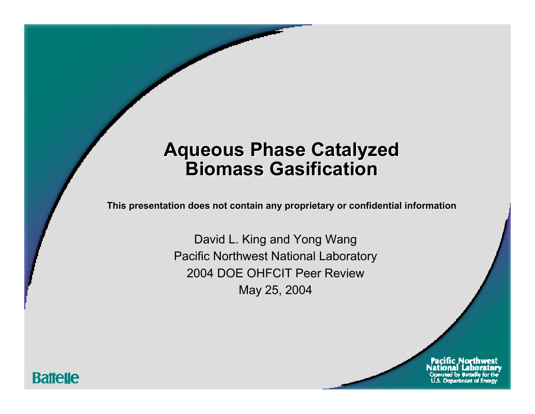### **Aqueous Phase Catalyzed Aqueous Phase Catalyzed Aqueous Phase Catalyzed Biomass GasificationBiomass Gasification Biomass Gasification**

This presentation does not contain any proprietary or confidential information

David L. King and Yong Wang Pacific Northwest National Laboratory 2004 DOE OHFCIT Peer ReviewMay 25, 2004

**Battelle** 

Pacific Northwest **Department of Energy**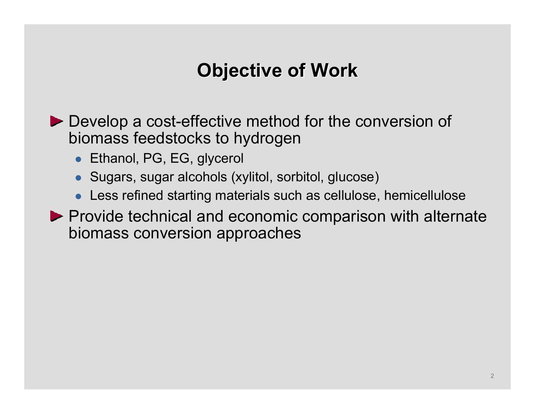# **Objective of Work Objective of Work Objective of Work**

**Develop a cost-effective method for the conversion of** biomass feedstocks to hydrogen

- Ethanol, PG, EG, glycerol
- $\bullet\,$  Sugars, sugar alcohols (xylitol, sorbitol, glucose)
- $\bullet\,$  Less refined starting materials such as cellulose, hemicellulose
- $\blacktriangleright$  Provide technical and economic comparison with alternate biomass conversion approaches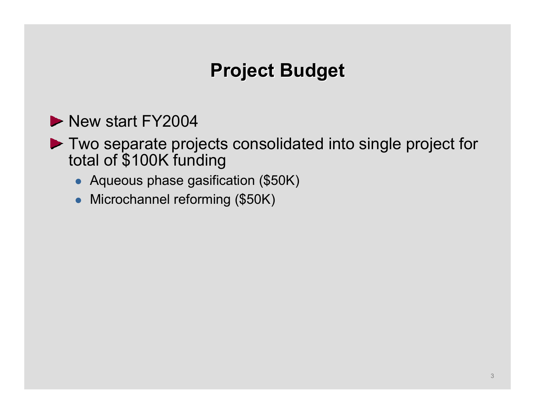# **Project Budget Project Budget Project Budget**

- New start FY2004
- ▶ Two separate projects consolidated into single project for total of \$100K funding
	- Aqueous phase gasification (\$50K)
	- Microchannel reforming (\$50K)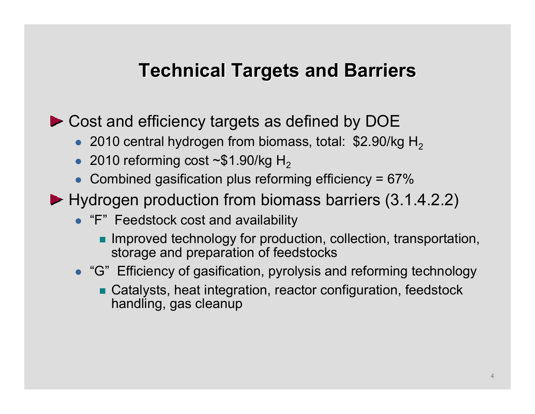# **Technical Targets and Barriers**

▶ Cost and efficiency targets as defined by DOE

- 2010 central hydrogen from biomass, total: \$2.90/kg H<sub>2</sub>
- 2010 reforming cost  $\sim$ \$1.90/kg H<sub>2</sub>
- Combined gasification plus reforming efficiency =  $67\%$
- ▶ Hydrogen production from biomass barriers (3.1.4.2.2)
	- "F" Feedstock cost and availability
		- **Improved technology for production, collection, transportation,** storage and preparation of feedstocks
	- "G" Efficiency of gasification, pyrolysis and reforming technology
		- Catalysts, heat integration, reactor configuration, feedstock handling, gas cleanup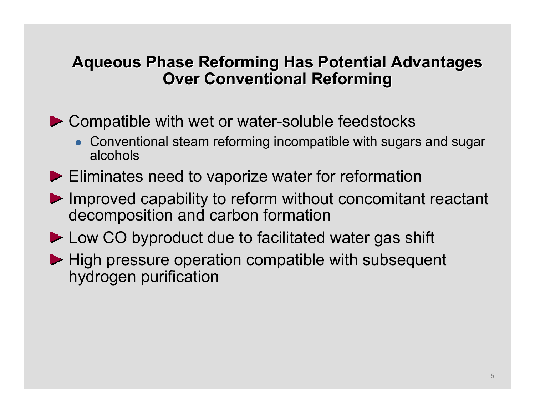### **Aqueous Phase Reforming Has Potential Advantages Aqueous Phase Reforming Has Potential Advantages Aqueous Phase Reforming Has Potential Advantages Over Conventional Reforming**

▶ Compatible with wet or water-soluble feedstocks

- Conventional steam reforming incompatible with sugars and sugar alcohols
- Eliminates need to vaporize water for reformation
- Improved capability to reform without concomitant reactant decomposition and carbon formation
- ► Low CO byproduct due to facilitated water gas shift
- $\blacktriangleright$  High pressure operation compatible with subsequent hydrogen purification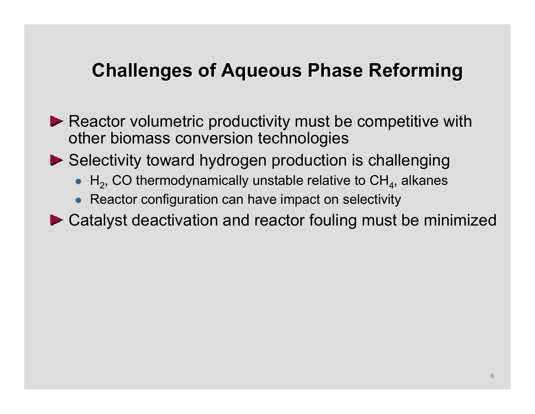# **Challenges of Aqueous Phase Reforming Challenges of Aqueous Phase Reforming Challenges of Aqueous Phase Reforming**

- Reactor volumetric productivity must be competitive with other biomass conversion technologies
- ▶ Selectivity toward hydrogen production is challenging
	- $\bullet$  H<sub>2</sub>, CO thermodynamically unstable relative to CH<sub>4</sub>, alkanes
	- Reactor configuration can have impact on selectivity
- ▶ Catalyst deactivation and reactor fouling must be minimized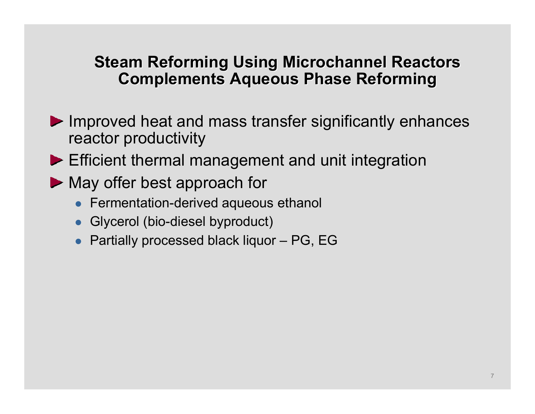#### **Steam Reforming Using Microchannel Reactors Steam Reforming Using Steam Reforming Using Microchannel Microchannel Reactors Reactors Complements Aqueous Phase Reforming Complements Aqueous Phase Reforming Complements Aqueous Phase Reforming**

- Improved heat and mass transfer significantly enhances reactor productivity
- Efficient thermal management and unit integration
- May offer best approach for
	- Fermentation-derived aqueous ethanol
	- Glycerol (bio-diesel byproduct)
	- Partially processed black liquor PG, EG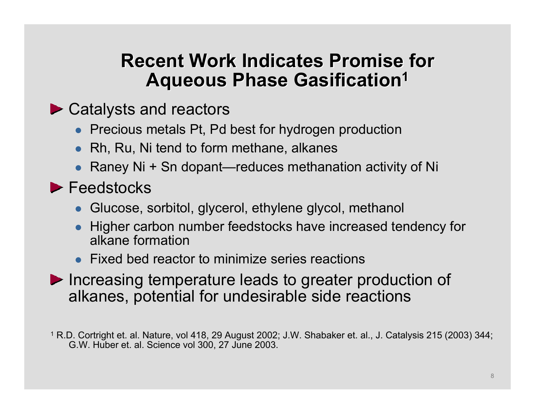#### **Recent Work Indicates Promise for Recent Work Indicates Promise for Recent Work Indicates Promise for Aqueous Phase Gasification 1 Aqueous Phase Gasification Aqueous Phase Gasification 1**

- ▶ Catalysts and reactors
	- Precious metals Pt, Pd best for hydrogen production
	- Rh, Ru, Ni tend to form methane, alkanes
	- Raney Ni + Sn dopant—reduces methanation activity of Ni
- Feedstocks
	- Glucose, sorbitol, glycerol, ethylene glycol, methanol
	- $\bullet$  Higher carbon number feedstocks have increased tendency for alkane formation
	- Fixed bed reactor to minimize series reactions
- Increasing temperature leads to greater production of alkanes, potential for undesirable side reactions
- 1 R.D. Cortright et. al. Nature, vol 418, 29 August 2002; J.W. Shabaker et. al., J. Catalysis 215 (2003) 344; G.W. Huber et. al. Science vol 300, 27 June 2003.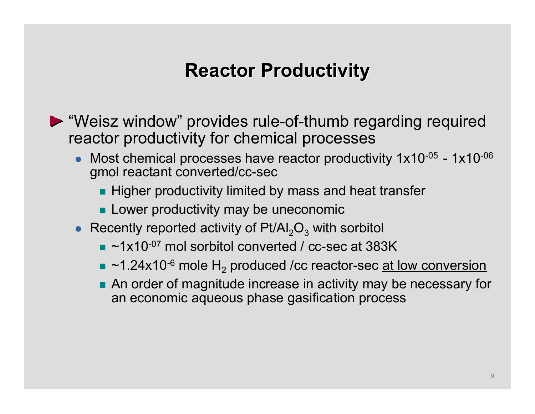# **Reactor Productivity Reactor Productivity Reactor Productivity**

- "Weisz window" provides rule-of-thumb regarding required reactor productivity for chemical processes
	- $\bullet$  Most chemical processes have reactor productivity 1x10-05 - 1x10-06 gmol reactant converted/cc-sec
		- **Higher productivity limited by mass and heat transfer**
		- **Lower productivity may be uneconomic**
	- Recently reported activity of  $Pt/Al_2O_3$  with sorbitol
		- $\blacksquare$  ~1x10<sup>-07</sup> mol sorbitol converted / cc-sec at 383K
		- $\textcolor{blue}{\bullet}$  ~1.24x10<sup>-6</sup> mole H<sub>2</sub> produced /cc reactor-sec <u>at low conversion</u>
		- **An order of magnitude increase in activity may be necessary for** an economic aqueous phase gasification process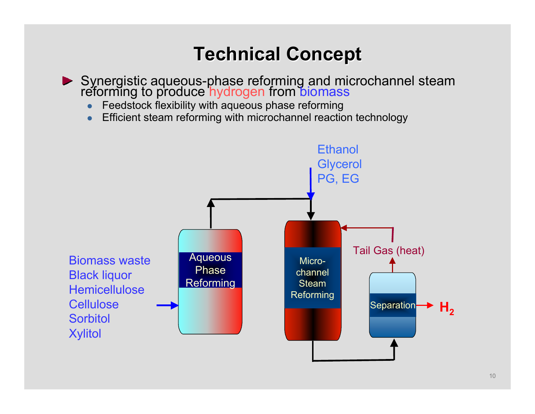# **Technical Concept Technical Concept Technical Concept**

- Synergistic aqueous-phase reforming and microchannel steam reforming to produce hydrogen from biomass
	- $\bullet$ Feedstock flexibility with aqueous phase reforming
	- $\bullet$ Efficient steam reforming with microchannel reaction technology

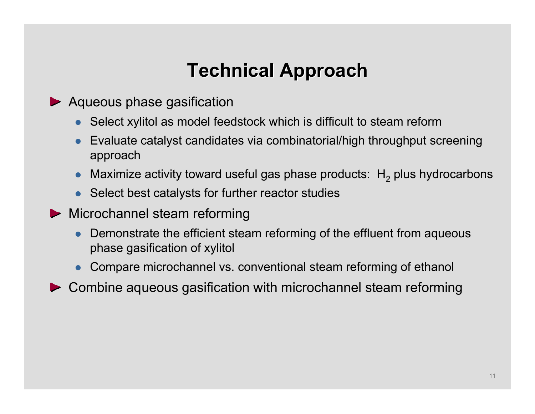# **Technical Approach Technical Approach Technical Approach**

- ▶ Aqueous phase gasification
	- $\bullet$  Select xylitol as model feedstock which is difficult to steam reform
	- $\bullet$  Evaluate catalyst candidates via combinatorial/high throughput screening approach
	- $\bullet$  $\bullet$  Maximize activity toward useful gas phase products:  $\mathsf{H}_2$  plus hydrocarbons
	- Select best catalysts for further reactor studies
- **Microchannel steam reforming** 
	- $\bullet$  Demonstrate the efficient steam reforming of the effluent from aqueous phase gasification of xylitol
	- $\bullet$ Compare microchannel vs. conventional steam reforming of ethanol
- Combine aqueous gasification with microchannel steam reforming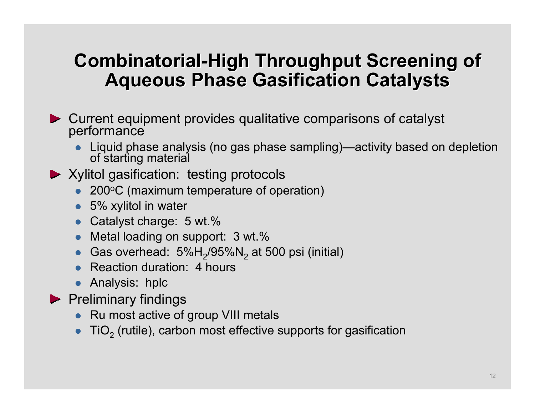### **Combinatorial-High Throughput Screening of Combinatorial Combinatorial -High Throughput Screening of High Throughput Screening of Aqueous Phase Gasification Catalysts Aqueous Phase Gasification Catalysts Aqueous Phase Gasification Catalysts**

- Current equipment provides qualitative comparisons of catalyst performance
	- $\bullet$ Liquid phase analysis (no gas phase sampling)—activity based on depletion of starting material

#### ▶ Xylitol gasification: testing protocols

- 200°C (maximum temperature of operation)
- 5% xylitol in water
- Catalyst charge: 5 wt.%
- $\bullet$ Metal loading on support: 3 wt.%
- $\bullet$  $\bullet~$  Gas overhead: 5%H $_2$ /95%N $_2$  at 500 psi (initial)
- Reaction duration: 4 hours
- Analysis: hplc
- $\blacktriangleright$  Preliminary findings
	- Ru most active of group VIII metals
	- $\bullet$  $\bullet~$  TiO $_2$  (rutile), carbon most effective supports for gasification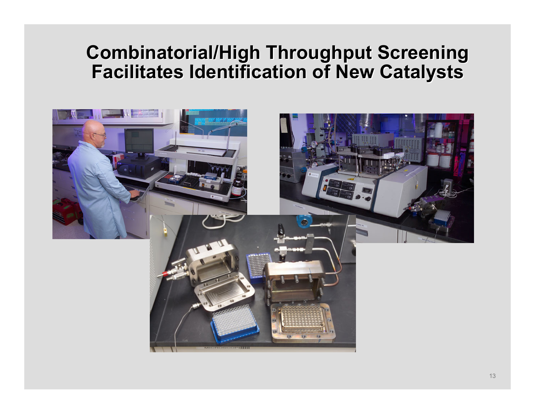#### **Combinatorial/High Throughput Screening Facilitates Identification of New Catalysts Combinatorial/High Throughput Screening Combinatorial/High Throughput Screening Facilitates Identification of New Catalysts Facilitates Identification of New Catalysts**

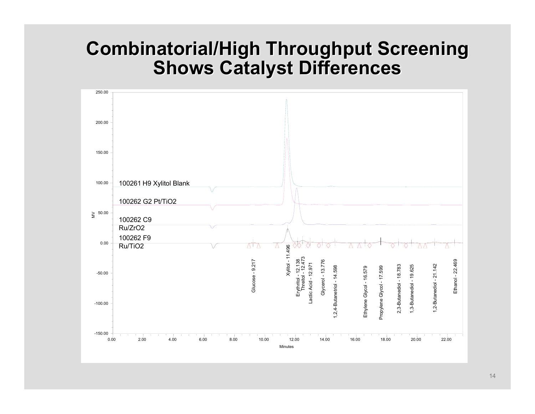### **Combinatorial/High Throughput Screening Combinatorial/High Throughput Screening Combinatorial/High Throughput Screening Shows Catalyst Differences Shows Catalyst Differences Shows Catalyst Differences**

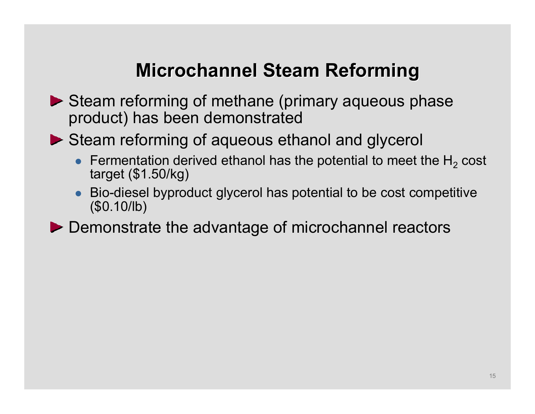# **Microchannel Steam Reforming Steam**

- Steam reforming of methane (primary aqueous phase product) has been demonstrated
- ▶ Steam reforming of aqueous ethanol and glycerol
	- $\bullet~$  Fermentation derived ethanol has the potential to meet the H $_2$ Fermentation derived ethanol has the potential to meet the H<sub>2</sub> cost<br>target (\$1.50/kg)
	- $\bullet$  Bio-diesel byproduct glycerol has potential to be cost competitive (\$0.10/lb)
- Demonstrate the advantage of microchannel reactors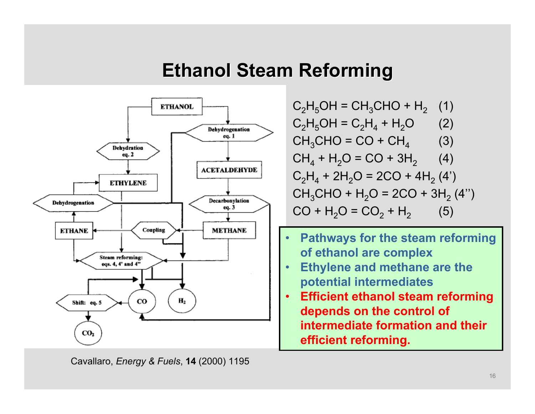## **Ethanol Steam Reforming Ethanol Steam Reforming Ethanol Steam Reforming**



 $\rm C_2H_5OH$  = CH $_3$ CHO + H $_2$   $\,$  (1)  $C_2H_5OH = C_2H_4 + H_2O$  (2)  $CH_3CHO = CO + CH_4$  (3)  $CH_4 + H_2O = CO + 3H_2$  (4)  $\rm C_2H_4$  + 2H<sub>2</sub>O = 2CO + 4H<sub>2</sub> (4')  $\mathsf{CH}_3\mathsf{CHO}$  +  $\mathsf{H}_2\mathsf{O}$  = 2CO + 3 $\mathsf{H}_2$  (4'')  $CO + H<sub>2</sub>O = CO<sub>2</sub> + H<sub>2</sub>$  (5)

- • **Pathways for the steam reforming of ethanol are complex**
- • **Ethylene and methane are the potential intermediates**
- • **Efficient ethanol steam reforming depends on the control of intermediate formation and their efficient reforming.**

Cavallaro, *Energy & Fuels*, **14** (2000) 1195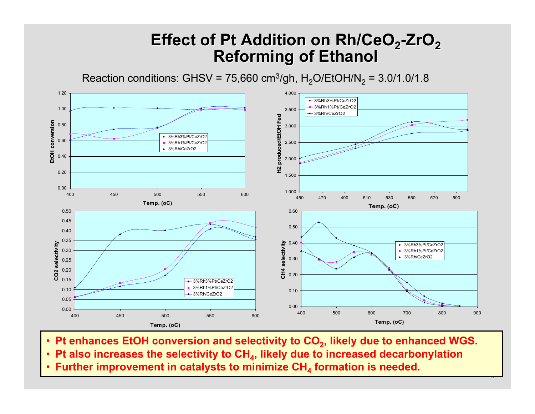### **Effect of Pt Addition on Rh/CeO2-ZrO2Effect of Pt Addition on Rh/CeO Effect of Pt Addition on Rh/CeO2-ZrO2Reforming of Ethanol Reforming of Ethanol Reforming of Ethanol**

Reaction conditions: GHSV = 75,660 cm $^3$ /gh, H $_2$ O/EtOH/N $_2$  = 3.0/1.0/1.8



• Pt enhances EtOH conversion and selectivity to CO<sub>2</sub>, likely due to enhanced WGS.

 $\overline{17}$ 

• **Pt also increases the selectivity to CH4, likely due to increased decarbonylation**

•• Further improvement in catalysts to minimize CH<sub>4</sub> formation is needed.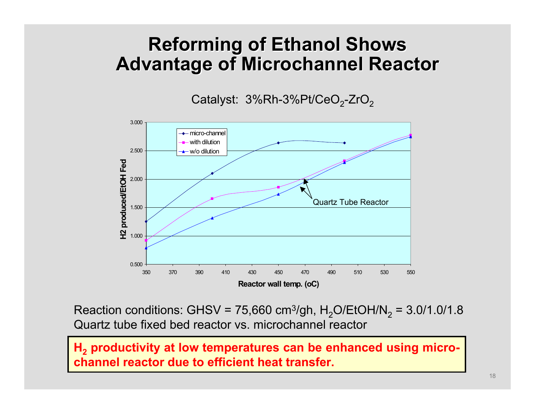### **Reforming of Ethanol Shows Reforming of Ethanol Shows Reforming of Ethanol Shows Advantage of Microchannel Reactor Advantage of Advantage of Microchannel Microchannel Reactor Reactor**

Catalyst: 3%Rh-3%Pt/CeO<sub>2</sub>-ZrO<sub>2</sub>



Reaction conditions: GHSV = 75,660 cm $^3$ /gh, H $_2$ O/EtOH/N $_2$  = 3.0/1.0/1.8 Quartz tube fixed bed reactor vs. microchannel reactor

**H 2 productivity at low temperatures can be enhanced using microchannel reactor due to efficient heat transfer.**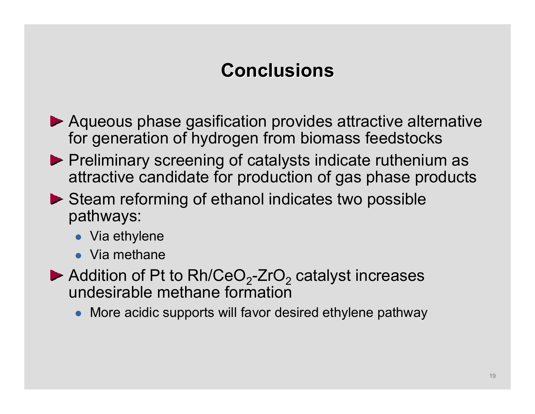# **Conclusions Conclusions Conclusions**

- Aqueous phase gasification provides attractive alternative for generation of hydrogen from biomass feedstocks
- $\blacktriangleright$  Preliminary screening of catalysts indicate ruthenium as attractive candidate for production of gas phase products
- $\triangleright$  Steam reforming of ethanol indicates two possible pathways:
	- $\bullet\,$  Via ethylene
	- $\bullet\;$  Via methane
- Addition of Pt to Rh/CeO $_2$ -ZrO $_2$  catalyst increases undesirable methane formation
	- More acidic supports will favor desired ethylene pathway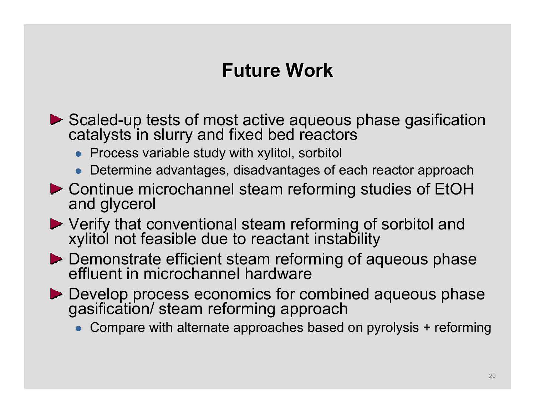# **Future Work Future Work Future Work**

- Scaled-up tests of most active aqueous phase gasification catalysts in slurry and fixed bed reactors
	- $\bullet$  Process variable study with xylitol, sorbitol
	- $\bullet$ Determine advantages, disadvantages of each reactor approach
- Continue microchannel steam reforming studies of EtOH and glycerol
- Verify that conventional steam reforming of sorbitol and xylitol not feasible due to reactant instability
- Demonstrate efficient steam reforming of aqueous phase<br>effluent in microchannel hardware
- Develop process economics for combined aqueous phase gasification/ steam reforming approach
	- $\bullet$ Compare with alternate approaches based on pyrolysis + reforming